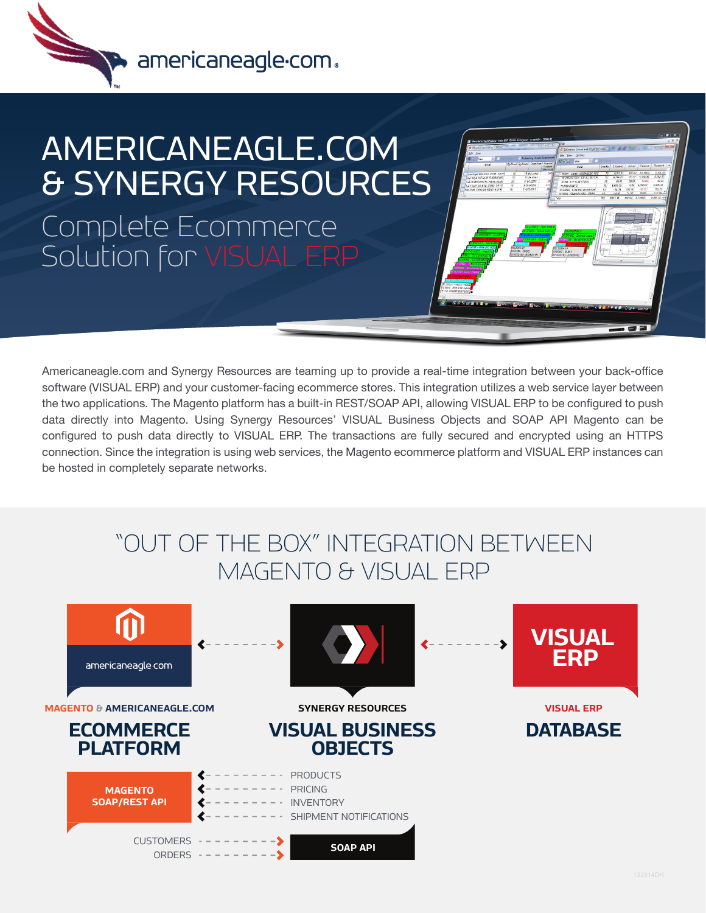

## AMERICANEAGLE.COM & SYNERGY RESOURCES Complete Ecommerce

Solution for VISUAL ERP

Americaneagle.com and Synergy Resources are teaming up to provide a real-time integration between your back-office software (VISUAL ERP) and your customer-facing ecommerce stores. This integration utilizes a web service layer between the two applications. The Magento platform has a built-in REST/SOAP API, allowing VISUAL ERP to be configured to push data directly into Magento. Using Synergy Resources' VISUAL Business Objects and SOAP API Magento can be configured to push data directly to VISUAL ERP. The transactions are fully secured and encrypted using an HTTPS connection. Since the integration is using web services, the Magento ecommerce platform and VISUAL ERP instances can be hosted in completely separate networks.

## "OUT OF THE BOX" INTEGRATION BETWEEN MAGENTO & VISUAL ERP